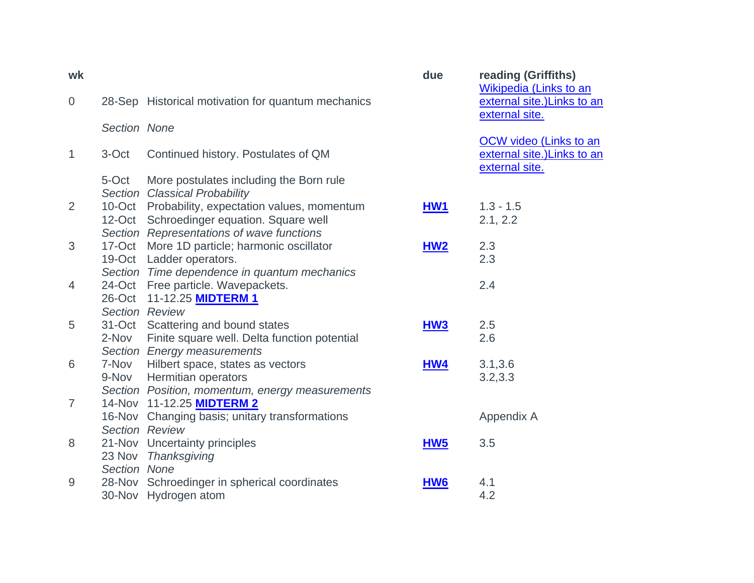| wk             |                |                                                                                                                                            | due             | reading (Griffiths)<br>Wikipedia (Links to an                                  |
|----------------|----------------|--------------------------------------------------------------------------------------------------------------------------------------------|-----------------|--------------------------------------------------------------------------------|
| $\overline{0}$ |                | 28-Sep Historical motivation for quantum mechanics                                                                                         |                 | external site.) Links to an<br>external site.                                  |
|                | Section None   |                                                                                                                                            |                 |                                                                                |
| $\mathbf{1}$   | 3-Oct          | Continued history. Postulates of QM                                                                                                        |                 | <b>OCW video (Links to an</b><br>external site.) Links to an<br>external site. |
|                | 5-Oct          | More postulates including the Born rule<br>Section Classical Probability                                                                   |                 |                                                                                |
| $\overline{2}$ |                | 10-Oct Probability, expectation values, momentum<br>12-Oct Schroedinger equation. Square well<br>Section Representations of wave functions | <b>HW1</b>      | $1.3 - 1.5$<br>2.1, 2.2                                                        |
| 3              |                | 17-Oct More 1D particle; harmonic oscillator<br>19-Oct Ladder operators.<br>Section Time dependence in quantum mechanics                   | HM2             | 2.3<br>2.3                                                                     |
| 4              |                | 24-Oct Free particle. Wavepackets.<br>26-Oct 11-12.25 <b>MIDTERM 1</b><br><b>Section Review</b>                                            |                 | 2.4                                                                            |
| 5              | 2-Nov          | 31-Oct Scattering and bound states<br>Finite square well. Delta function potential<br>Section Energy measurements                          | HW <sub>3</sub> | 2.5<br>2.6                                                                     |
| 6              | 9-Nov          | 7-Nov Hilbert space, states as vectors<br>Hermitian operators<br>Section Position, momentum, energy measurements                           | HW4             | 3.1, 3.6<br>3.2, 3.3                                                           |
| $\overline{7}$ | Section Review | 14-Nov 11-12.25 MIDTERM 2<br>16-Nov Changing basis; unitary transformations                                                                |                 | Appendix A                                                                     |
| 8              | Section None   | 21-Nov Uncertainty principles<br>23 Nov Thanksgiving                                                                                       | HW <sub>5</sub> | 3.5                                                                            |
| 9              | 28-Nov         | Schroedinger in spherical coordinates<br>30-Nov Hydrogen atom                                                                              | HW <sub>6</sub> | 4.1<br>4.2                                                                     |